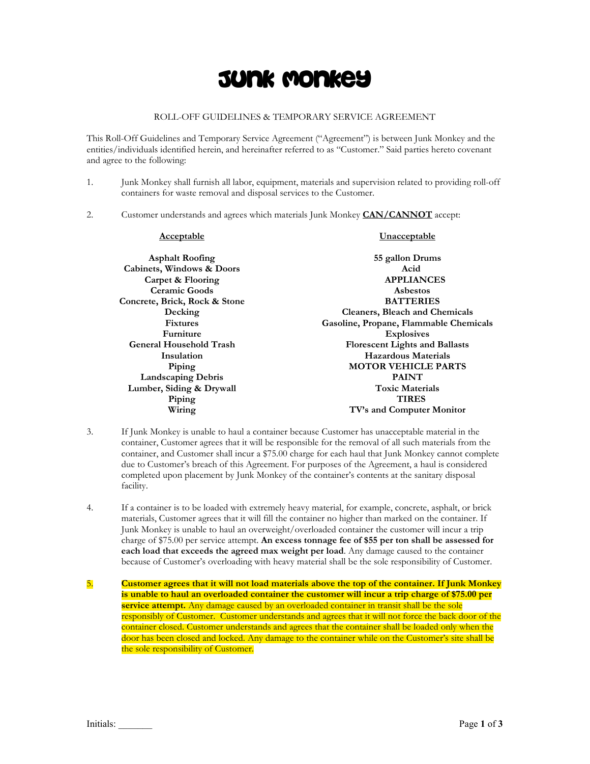## Junk Monkey

## ROLL-OFF GUIDELINES & TEMPORARY SERVICE AGREEMENT

This Roll-Off Guidelines and Temporary Service Agreement ("Agreement") is between Junk Monkey and the entities/individuals identified herein, and hereinafter referred to as "Customer." Said parties hereto covenant and agree to the following:

- 1. Junk Monkey shall furnish all labor, equipment, materials and supervision related to providing roll-off containers for waste removal and disposal services to the Customer.
- 2. Customer understands and agrees which materials Junk Monkey **CAN/CANNOT** accept:

| Acceptable                           | Unacceptable                           |
|--------------------------------------|----------------------------------------|
| <b>Asphalt Roofing</b>               | 55 gallon Drums                        |
| <b>Cabinets, Windows &amp; Doors</b> | Acid                                   |
| Carpet & Flooring                    | <b>APPLIANCES</b>                      |
| <b>Ceramic Goods</b>                 | Asbestos                               |
| Concrete, Brick, Rock & Stone        | <b>BATTERIES</b>                       |
| Decking                              | <b>Cleaners, Bleach and Chemicals</b>  |
| <b>Fixtures</b>                      | Gasoline, Propane, Flammable Chemicals |
| <b>Furniture</b>                     | <b>Explosives</b>                      |
| <b>General Household Trash</b>       | <b>Florescent Lights and Ballasts</b>  |
| Insulation                           | <b>Hazardous Materials</b>             |
| Piping                               | <b>MOTOR VEHICLE PARTS</b>             |
| <b>Landscaping Debris</b>            | <b>PAINT</b>                           |
| Lumber, Siding & Drywall             | <b>Toxic Materials</b>                 |
| Piping                               | <b>TIRES</b>                           |
| Wiring                               | TV's and Computer Monitor              |
|                                      |                                        |

- 3. If Junk Monkey is unable to haul a container because Customer has unacceptable material in the container, Customer agrees that it will be responsible for the removal of all such materials from the container, and Customer shall incur a \$75.00 charge for each haul that Junk Monkey cannot complete due to Customer's breach of this Agreement. For purposes of the Agreement, a haul is considered completed upon placement by Junk Monkey of the container's contents at the sanitary disposal facility.
- 4. If a container is to be loaded with extremely heavy material, for example, concrete, asphalt, or brick materials, Customer agrees that it will fill the container no higher than marked on the container. If Junk Monkey is unable to haul an overweight/overloaded container the customer will incur a trip charge of \$75.00 per service attempt. **An excess tonnage fee of \$55 per ton shall be assessed for each load that exceeds the agreed max weight per load**. Any damage caused to the container because of Customer's overloading with heavy material shall be the sole responsibility of Customer.
- 5. **Customer agrees that it will not load materials above the top of the container. If Junk Monkey is unable to haul an overloaded container the customer will incur a trip charge of \$75.00 per service attempt.** Any damage caused by an overloaded container in transit shall be the sole responsibly of Customer. Customer understands and agrees that it will not force the back door of the container closed. Customer understands and agrees that the container shall be loaded only when the door has been closed and locked. Any damage to the container while on the Customer's site shall be the sole responsibility of Customer.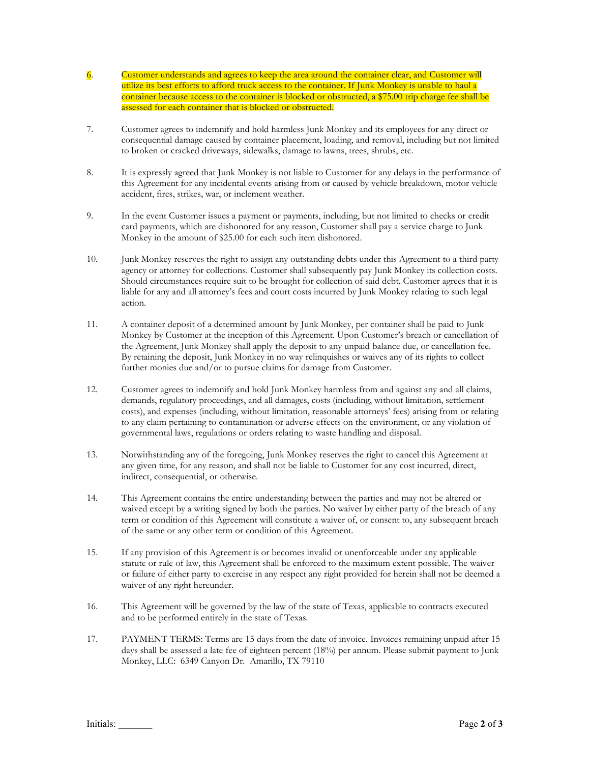- 6. Customer understands and agrees to keep the area around the container clear, and Customer will utilize its best efforts to afford truck access to the container. If Junk Monkey is unable to haul a container because access to the container is blocked or obstructed, a \$75.00 trip charge fee shall be assessed for each container that is blocked or obstructed.
- 7. Customer agrees to indemnify and hold harmless Junk Monkey and its employees for any direct or consequential damage caused by container placement, loading, and removal, including but not limited to broken or cracked driveways, sidewalks, damage to lawns, trees, shrubs, etc.
- 8. It is expressly agreed that Junk Monkey is not liable to Customer for any delays in the performance of this Agreement for any incidental events arising from or caused by vehicle breakdown, motor vehicle accident, fires, strikes, war, or inclement weather.
- 9. In the event Customer issues a payment or payments, including, but not limited to checks or credit card payments, which are dishonored for any reason, Customer shall pay a service charge to Junk Monkey in the amount of \$25.00 for each such item dishonored.
- 10. Junk Monkey reserves the right to assign any outstanding debts under this Agreement to a third party agency or attorney for collections. Customer shall subsequently pay Junk Monkey its collection costs. Should circumstances require suit to be brought for collection of said debt, Customer agrees that it is liable for any and all attorney's fees and court costs incurred by Junk Monkey relating to such legal action.
- 11. A container deposit of a determined amount by Junk Monkey, per container shall be paid to Junk Monkey by Customer at the inception of this Agreement. Upon Customer's breach or cancellation of the Agreement, Junk Monkey shall apply the deposit to any unpaid balance due, or cancellation fee. By retaining the deposit, Junk Monkey in no way relinquishes or waives any of its rights to collect further monies due and/or to pursue claims for damage from Customer.
- 12. Customer agrees to indemnify and hold Junk Monkey harmless from and against any and all claims, demands, regulatory proceedings, and all damages, costs (including, without limitation, settlement costs), and expenses (including, without limitation, reasonable attorneys' fees) arising from or relating to any claim pertaining to contamination or adverse effects on the environment, or any violation of governmental laws, regulations or orders relating to waste handling and disposal.
- 13. Notwithstanding any of the foregoing, Junk Monkey reserves the right to cancel this Agreement at any given time, for any reason, and shall not be liable to Customer for any cost incurred, direct, indirect, consequential, or otherwise.
- 14. This Agreement contains the entire understanding between the parties and may not be altered or waived except by a writing signed by both the parties. No waiver by either party of the breach of any term or condition of this Agreement will constitute a waiver of, or consent to, any subsequent breach of the same or any other term or condition of this Agreement.
- 15. If any provision of this Agreement is or becomes invalid or unenforceable under any applicable statute or rule of law, this Agreement shall be enforced to the maximum extent possible. The waiver or failure of either party to exercise in any respect any right provided for herein shall not be deemed a waiver of any right hereunder.
- 16. This Agreement will be governed by the law of the state of Texas, applicable to contracts executed and to be performed entirely in the state of Texas.
- 17. PAYMENT TERMS: Terms are 15 days from the date of invoice. Invoices remaining unpaid after 15 days shall be assessed a late fee of eighteen percent (18%) per annum. Please submit payment to Junk Monkey, LLC: 6349 Canyon Dr. Amarillo, TX 79110

Initials: Page 2 of 3